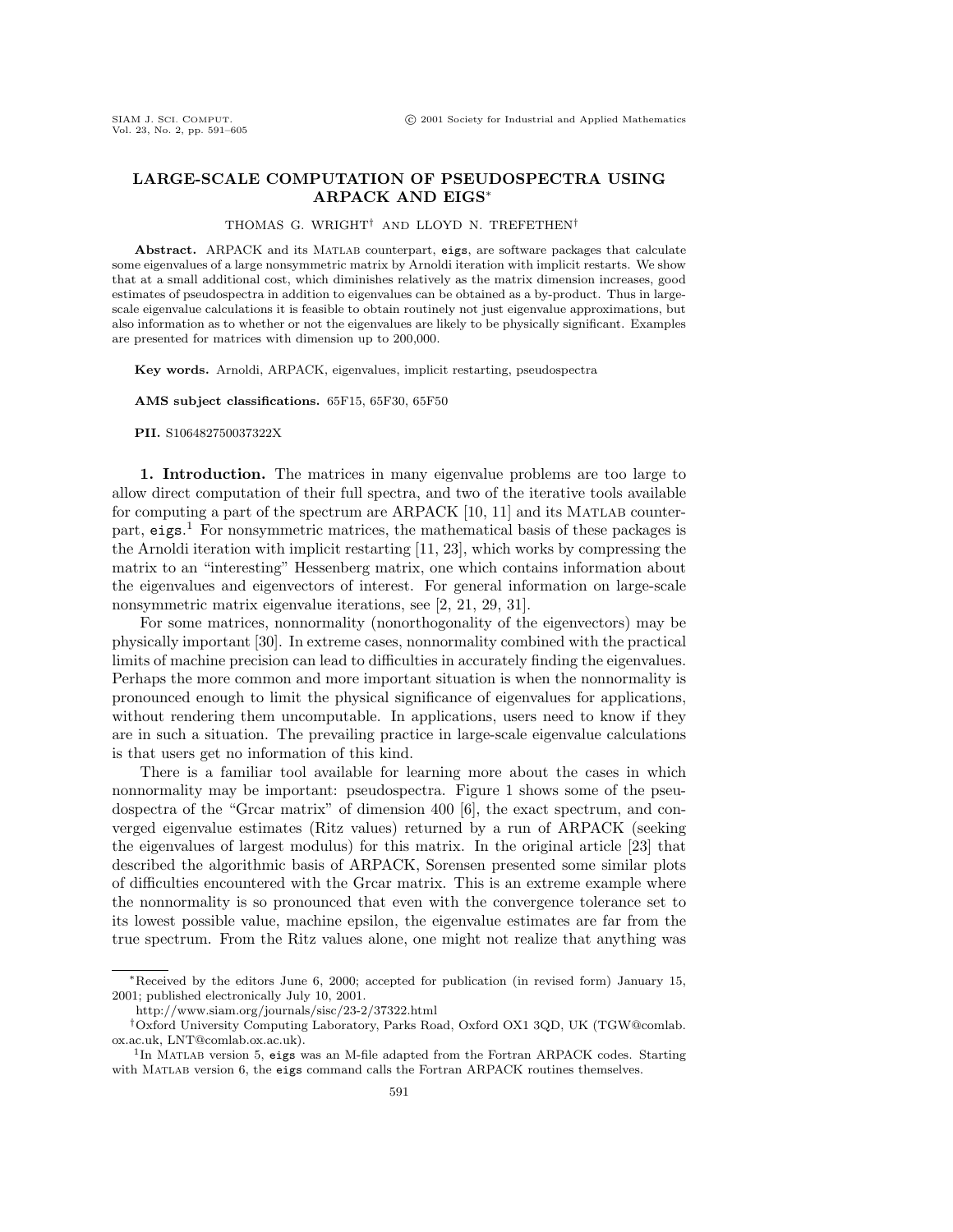## **LARGE-SCALE COMPUTATION OF PSEUDOSPECTRA USING ARPACK AND EIGS**<sup>∗</sup>

## THOMAS G. WRIGHT† AND LLOYD N. TREFETHEN†

Abstract. ARPACK and its MATLAB counterpart, eigs, are software packages that calculate some eigenvalues of a large nonsymmetric matrix by Arnoldi iteration with implicit restarts. We show that at a small additional cost, which diminishes relatively as the matrix dimension increases, good estimates of pseudospectra in addition to eigenvalues can be obtained as a by-product. Thus in largescale eigenvalue calculations it is feasible to obtain routinely not just eigenvalue approximations, but also information as to whether or not the eigenvalues are likely to be physically significant. Examples are presented for matrices with dimension up to 200,000.

**Key words.** Arnoldi, ARPACK, eigenvalues, implicit restarting, pseudospectra

**AMS subject classifications.** 65F15, 65F30, 65F50

**PII.** S106482750037322X

**1. Introduction.** The matrices in many eigenvalue problems are too large to allow direct computation of their full spectra, and two of the iterative tools available for computing a part of the spectrum are  $ARPACK$  [10, 11] and its MATLAB counterpart, eigs. <sup>1</sup> For nonsymmetric matrices, the mathematical basis of these packages is the Arnoldi iteration with implicit restarting [11, 23], which works by compressing the matrix to an "interesting" Hessenberg matrix, one which contains information about the eigenvalues and eigenvectors of interest. For general information on large-scale nonsymmetric matrix eigenvalue iterations, see [2, 21, 29, 31].

For some matrices, nonnormality (nonorthogonality of the eigenvectors) may be physically important [30]. In extreme cases, nonnormality combined with the practical limits of machine precision can lead to difficulties in accurately finding the eigenvalues. Perhaps the more common and more important situation is when the nonnormality is pronounced enough to limit the physical significance of eigenvalues for applications, without rendering them uncomputable. In applications, users need to know if they are in such a situation. The prevailing practice in large-scale eigenvalue calculations is that users get no information of this kind.

There is a familiar tool available for learning more about the cases in which nonnormality may be important: pseudospectra. Figure 1 shows some of the pseudospectra of the "Grcar matrix" of dimension 400 [6], the exact spectrum, and converged eigenvalue estimates (Ritz values) returned by a run of ARPACK (seeking the eigenvalues of largest modulus) for this matrix. In the original article  $[23]$  that described the algorithmic basis of ARPACK, Sorensen presented some similar plots of difficulties encountered with the Grcar matrix. This is an extreme example where the nonnormality is so pronounced that even with the convergence tolerance set to its lowest possible value, machine epsilon, the eigenvalue estimates are far from the true spectrum. From the Ritz values alone, one might not realize that anything was

<sup>∗</sup>Received by the editors June 6, 2000; accepted for publication (in revised form) January 15, 2001; published electronically July 10, 2001.

http://www.siam.org/journals/sisc/23-2/37322.html

<sup>†</sup>Oxford University Computing Laboratory, Parks Road, Oxford OX1 3QD, UK (TGW@comlab. ox.ac.uk, LNT@comlab.ox.ac.uk).

<sup>&</sup>lt;sup>1</sup>In MATLAB version 5, eigs was an M-file adapted from the Fortran ARPACK codes. Starting with MATLAB version 6, the eigs command calls the Fortran ARPACK routines themselves.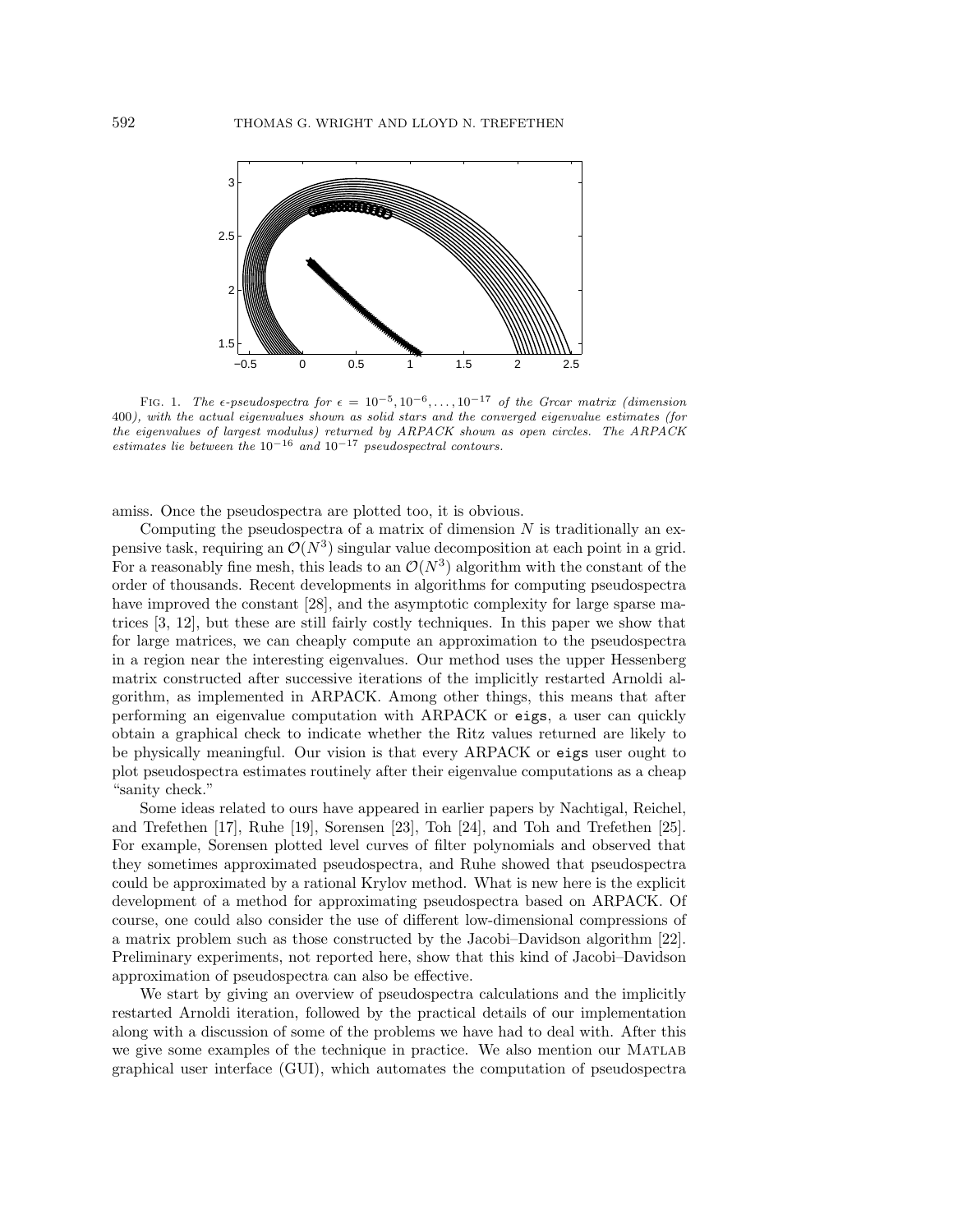

FIG. 1. The  $\epsilon$ -pseudospectra for  $\epsilon = 10^{-5}, 10^{-6}, \ldots, 10^{-17}$  of the Grear matrix (dimension 400), with the actual eigenvalues shown as solid stars and the converged eigenvalue estimates (for the eigenvalues of largest modulus) returned by ARPACK shown as open circles. The ARPACK estimates lie between the  $10^{-16}$  and  $10^{-17}$  pseudospectral contours.

amiss. Once the pseudospectra are plotted too, it is obvious.

Computing the pseudospectra of a matrix of dimension  $N$  is traditionally an expensive task, requiring an  $\mathcal{O}(N^3)$  singular value decomposition at each point in a grid. For a reasonably fine mesh, this leads to an  $\mathcal{O}(N^3)$  algorithm with the constant of the order of thousands. Recent developments in algorithms for computing pseudospectra have improved the constant [28], and the asymptotic complexity for large sparse matrices [3, 12], but these are still fairly costly techniques. In this paper we show that for large matrices, we can cheaply compute an approximation to the pseudospectra in a region near the interesting eigenvalues. Our method uses the upper Hessenberg matrix constructed after successive iterations of the implicitly restarted Arnoldi algorithm, as implemented in ARPACK. Among other things, this means that after performing an eigenvalue computation with ARPACK or eigs, a user can quickly obtain a graphical check to indicate whether the Ritz values returned are likely to be physically meaningful. Our vision is that every ARPACK or eigs user ought to plot pseudospectra estimates routinely after their eigenvalue computations as a cheap "sanity check."

Some ideas related to ours have appeared in earlier papers by Nachtigal, Reichel, and Trefethen [17], Ruhe [19], Sorensen [23], Toh [24], and Toh and Trefethen [25]. For example, Sorensen plotted level curves of filter polynomials and observed that they sometimes approximated pseudospectra, and Ruhe showed that pseudospectra could be approximated by a rational Krylov method. What is new here is the explicit development of a method for approximating pseudospectra based on ARPACK. Of course, one could also consider the use of different low-dimensional compressions of a matrix problem such as those constructed by the Jacobi–Davidson algorithm [22]. Preliminary experiments, not reported here, show that this kind of Jacobi–Davidson approximation of pseudospectra can also be effective.

We start by giving an overview of pseudospectra calculations and the implicitly restarted Arnoldi iteration, followed by the practical details of our implementation along with a discussion of some of the problems we have had to deal with. After this we give some examples of the technique in practice. We also mention our MATLAB graphical user interface (GUI), which automates the computation of pseudospectra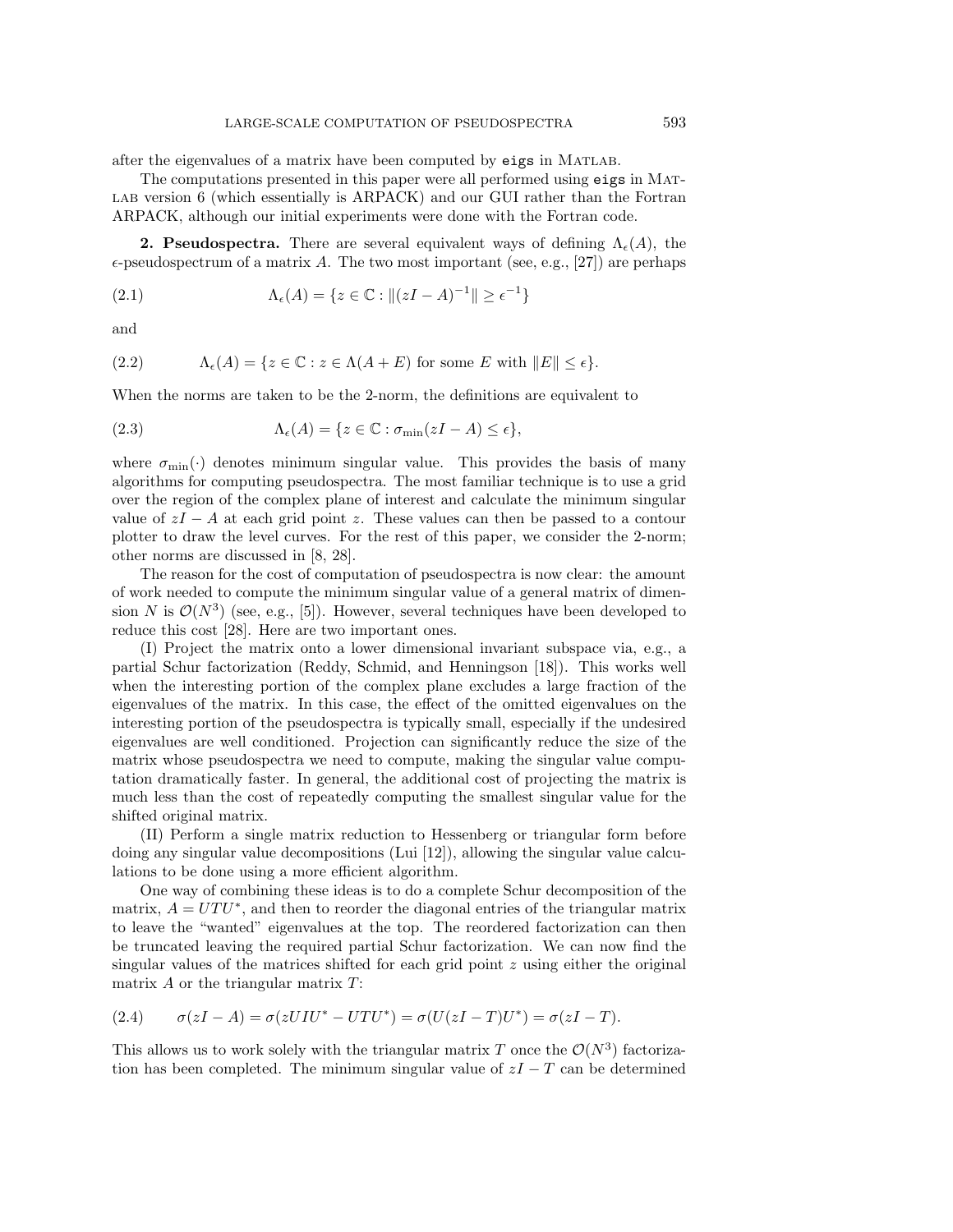after the eigenvalues of a matrix have been computed by eigs in Matlab.

The computations presented in this paper were all performed using eigs in Mat-LAB version 6 (which essentially is ARPACK) and our GUI rather than the Fortran ARPACK, although our initial experiments were done with the Fortran code.

**2. Pseudospectra.** There are several equivalent ways of defining  $\Lambda_{\epsilon}(A)$ , the  $\epsilon$ -pseudospectrum of a matrix A. The two most important (see, e.g., [27]) are perhaps

(2.1) 
$$
\Lambda_{\epsilon}(A) = \{ z \in \mathbb{C} : ||(zI - A)^{-1}|| \geq \epsilon^{-1} \}
$$

and

(2.2) 
$$
\Lambda_{\epsilon}(A) = \{ z \in \mathbb{C} : z \in \Lambda(A + E) \text{ for some } E \text{ with } ||E|| \leq \epsilon \}.
$$

When the norms are taken to be the 2-norm, the definitions are equivalent to

(2.3) 
$$
\Lambda_{\epsilon}(A) = \{ z \in \mathbb{C} : \sigma_{\min}(zI - A) \leq \epsilon \},
$$

where  $\sigma_{\min}(\cdot)$  denotes minimum singular value. This provides the basis of many algorithms for computing pseudospectra. The most familiar technique is to use a grid over the region of the complex plane of interest and calculate the minimum singular value of  $zI - A$  at each grid point z. These values can then be passed to a contour plotter to draw the level curves. For the rest of this paper, we consider the 2-norm; other norms are discussed in [8, 28].

The reason for the cost of computation of pseudospectra is now clear: the amount of work needed to compute the minimum singular value of a general matrix of dimension N is  $\mathcal{O}(N^3)$  (see, e.g., [5]). However, several techniques have been developed to reduce this cost [28]. Here are two important ones.

(I) Project the matrix onto a lower dimensional invariant subspace via, e.g., a partial Schur factorization (Reddy, Schmid, and Henningson [18]). This works well when the interesting portion of the complex plane excludes a large fraction of the eigenvalues of the matrix. In this case, the effect of the omitted eigenvalues on the interesting portion of the pseudospectra is typically small, especially if the undesired eigenvalues are well conditioned. Projection can significantly reduce the size of the matrix whose pseudospectra we need to compute, making the singular value computation dramatically faster. In general, the additional cost of projecting the matrix is much less than the cost of repeatedly computing the smallest singular value for the shifted original matrix.

(II) Perform a single matrix reduction to Hessenberg or triangular form before doing any singular value decompositions (Lui [12]), allowing the singular value calculations to be done using a more efficient algorithm.

One way of combining these ideas is to do a complete Schur decomposition of the matrix,  $A = UTU^*$ , and then to reorder the diagonal entries of the triangular matrix to leave the "wanted" eigenvalues at the top. The reordered factorization can then be truncated leaving the required partial Schur factorization. We can now find the singular values of the matrices shifted for each grid point  $z$  using either the original matrix  $A$  or the triangular matrix  $T$ :

$$
(2.4) \qquad \sigma(zI - A) = \sigma(zUIU^* - UTU^*) = \sigma(U(zI - T)U^*) = \sigma(zI - T).
$$

This allows us to work solely with the triangular matrix T once the  $\mathcal{O}(N^3)$  factorization has been completed. The minimum singular value of  $zI - T$  can be determined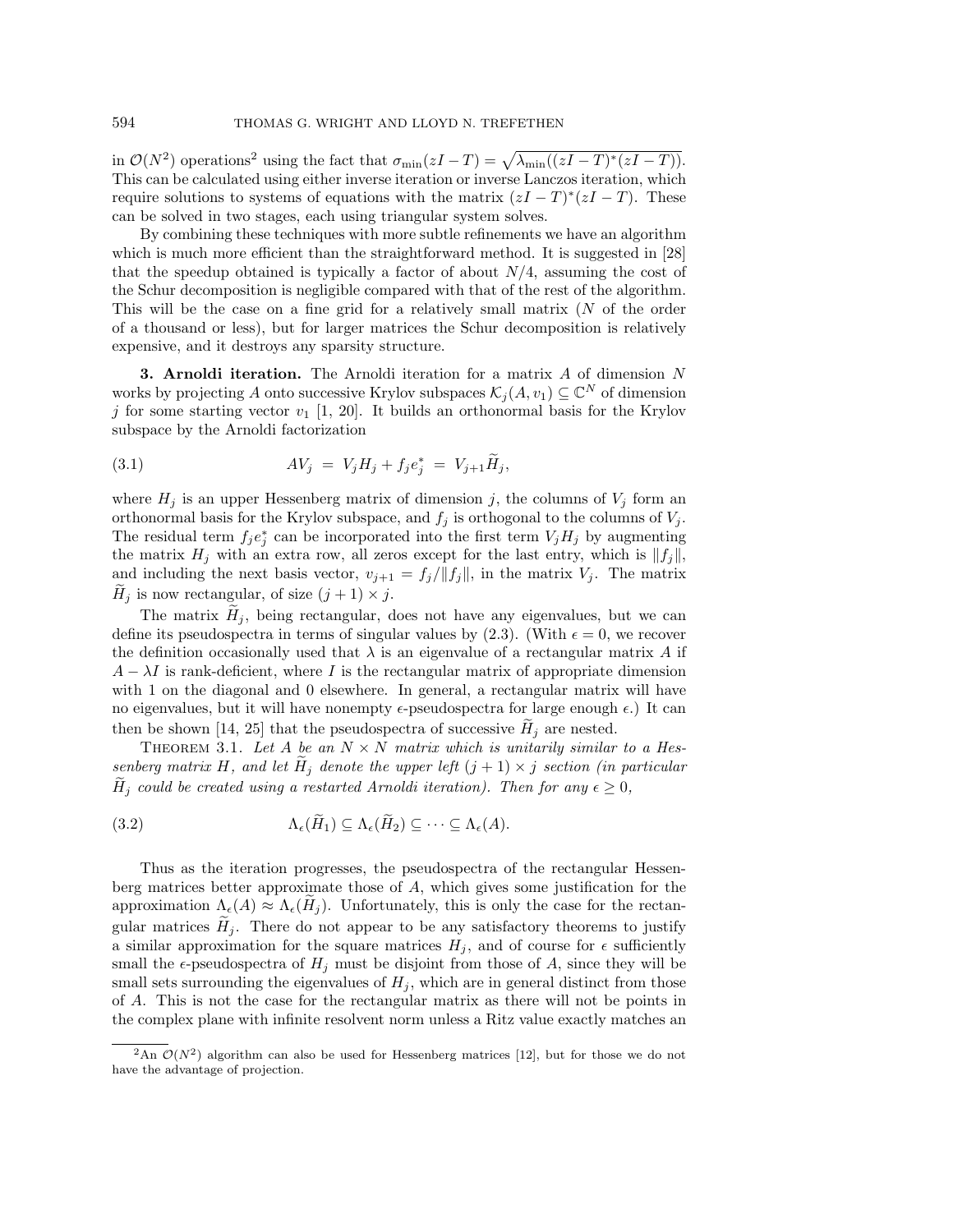in  $\mathcal{O}(N^2)$  operations<sup>2</sup> using the fact that  $\sigma_{\min}(zI-T) = \sqrt{\lambda_{\min}((zI-T)^*(zI-T))}$ . This can be calculated using either inverse iteration or inverse Lanczos iteration, which require solutions to systems of equations with the matrix  $(zI - T)^{*}(zI - T)$ . These can be solved in two stages, each using triangular system solves.

By combining these techniques with more subtle refinements we have an algorithm which is much more efficient than the straightforward method. It is suggested in [28] that the speedup obtained is typically a factor of about  $N/4$ , assuming the cost of the Schur decomposition is negligible compared with that of the rest of the algorithm. This will be the case on a fine grid for a relatively small matrix  $(N<sub>o</sub>$  of the order of a thousand or less), but for larger matrices the Schur decomposition is relatively expensive, and it destroys any sparsity structure.

**3. Arnoldi iteration.** The Arnoldi iteration for a matrix A of dimension N works by projecting A onto successive Krylov subspaces  $\mathcal{K}_j(A, v_1) \subseteq \mathbb{C}^N$  of dimension j for some starting vector  $v_1$  [1, 20]. It builds an orthonormal basis for the Krylov subspace by the Arnoldi factorization

(3.1) 
$$
AV_j = V_j H_j + f_j e_j^* = V_{j+1} \tilde{H}_j,
$$

where  $H_j$  is an upper Hessenberg matrix of dimension j, the columns of  $V_j$  form an orthonormal basis for the Krylov subspace, and  $f_j$  is orthogonal to the columns of  $V_j$ . The residual term  $f_j e_j^*$  can be incorporated into the first term  $V_j H_j$  by augmenting the matrix  $H_j$  with an extra row, all zeros except for the last entry, which is  $||f_j||$ , and including the next basis vector,  $v_{j+1} = f_j / ||f_j||$ , in the matrix  $V_j$ . The matrix  $H_j$  is now rectangular, of size  $(j + 1) \times j$ .

The matrix  $H_j$ , being rectangular, does not have any eigenvalues, but we can define its pseudospectra in terms of singular values by (2.3). (With  $\epsilon = 0$ , we recover the definition occasionally used that  $\lambda$  is an eigenvalue of a rectangular matrix A if  $A - \lambda I$  is rank-deficient, where I is the rectangular matrix of appropriate dimension with 1 on the diagonal and 0 elsewhere. In general, a rectangular matrix will have no eigenvalues, but it will have nonempty  $\epsilon$ -pseudospectra for large enough  $\epsilon$ .) It can then be shown [14, 25] that the pseudospectra of successive  $H_j$  are nested.

THEOREM 3.1. Let A be an  $N \times N$  matrix which is unitarily similar to a Hessenberg matrix H, and let  $H_j$  denote the upper left  $(j + 1) \times j$  section (in particular  $H_j$  could be created using a restarted Arnoldi iteration). Then for any  $\epsilon \geq 0$ ,

(3.2) 
$$
\Lambda_{\epsilon}(\tilde{H}_1) \subseteq \Lambda_{\epsilon}(\tilde{H}_2) \subseteq \cdots \subseteq \Lambda_{\epsilon}(A).
$$

Thus as the iteration progresses, the pseudospectra of the rectangular Hessenberg matrices better approximate those of A, which gives some justification for the approximation  $\Lambda_{\epsilon}(A) \approx \Lambda_{\epsilon}(H_j)$ . Unfortunately, this is only the case for the rectangular matrices  $H_j$ . There do not appear to be any satisfactory theorems to justify a similar approximation for the square matrices  $H_j$ , and of course for  $\epsilon$  sufficiently small the  $\epsilon$ -pseudospectra of  $H_j$  must be disjoint from those of A, since they will be small sets surrounding the eigenvalues of  $H_i$ , which are in general distinct from those of A. This is not the case for the rectangular matrix as there will not be points in the complex plane with infinite resolvent norm unless a Ritz value exactly matches an

<sup>&</sup>lt;sup>2</sup>An  $\mathcal{O}(N^2)$  algorithm can also be used for Hessenberg matrices [12], but for those we do not have the advantage of projection.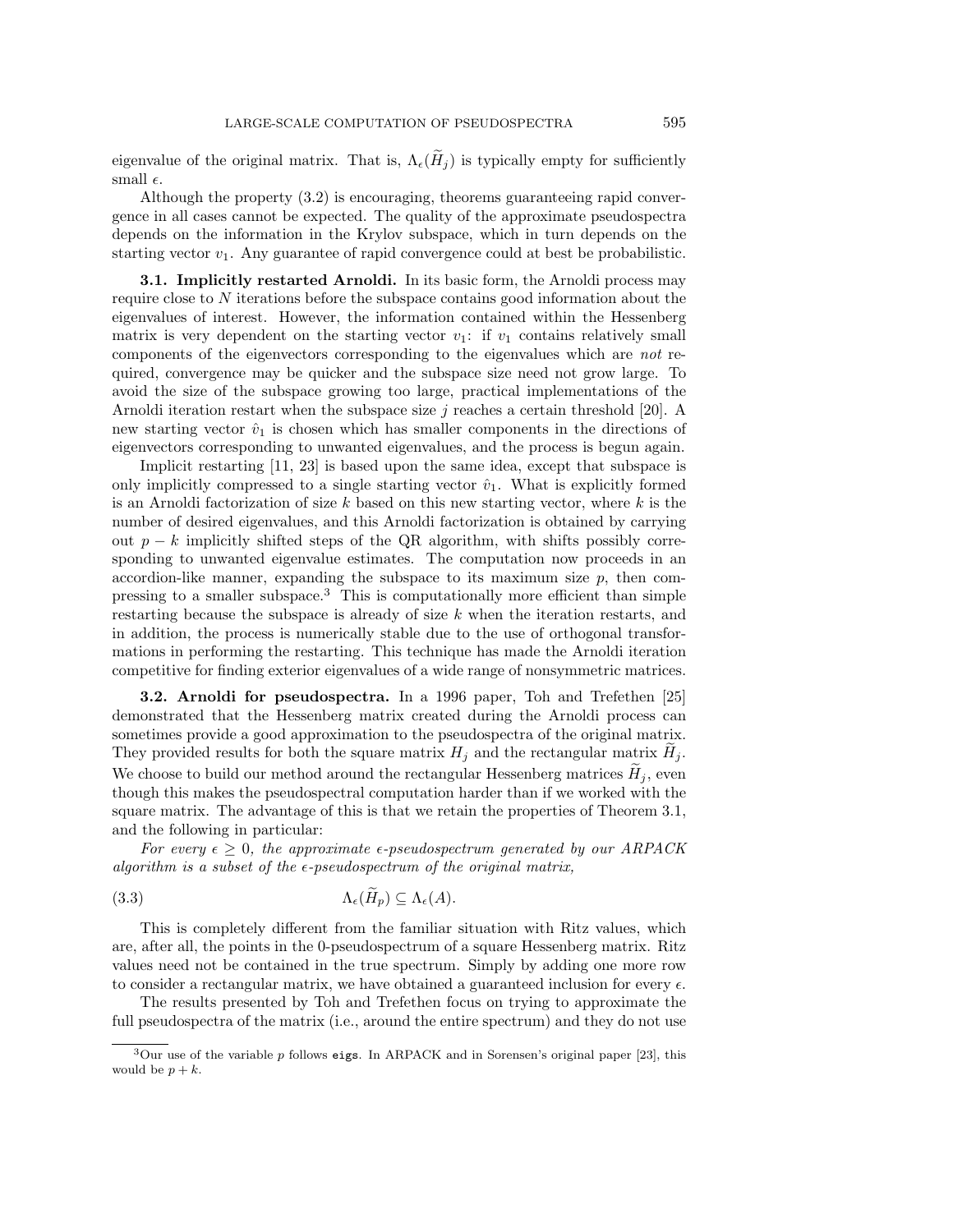eigenvalue of the original matrix. That is,  $\Lambda_{\epsilon}(H_j)$  is typically empty for sufficiently small  $\epsilon$ .

Although the property (3.2) is encouraging, theorems guaranteeing rapid convergence in all cases cannot be expected. The quality of the approximate pseudospectra depends on the information in the Krylov subspace, which in turn depends on the starting vector  $v_1$ . Any guarantee of rapid convergence could at best be probabilistic.

**3.1. Implicitly restarted Arnoldi.** In its basic form, the Arnoldi process may require close to N iterations before the subspace contains good information about the eigenvalues of interest. However, the information contained within the Hessenberg matrix is very dependent on the starting vector  $v_1$ : if  $v_1$  contains relatively small components of the eigenvectors corresponding to the eigenvalues which are not required, convergence may be quicker and the subspace size need not grow large. To avoid the size of the subspace growing too large, practical implementations of the Arnoldi iteration restart when the subspace size  $j$  reaches a certain threshold [20]. A new starting vector  $\hat{v}_1$  is chosen which has smaller components in the directions of eigenvectors corresponding to unwanted eigenvalues, and the process is begun again.

Implicit restarting  $[11, 23]$  is based upon the same idea, except that subspace is only implicitly compressed to a single starting vector  $\hat{v}_1$ . What is explicitly formed is an Arnoldi factorization of size  $k$  based on this new starting vector, where  $k$  is the number of desired eigenvalues, and this Arnoldi factorization is obtained by carrying out  $p - k$  implicitly shifted steps of the QR algorithm, with shifts possibly corresponding to unwanted eigenvalue estimates. The computation now proceeds in an accordion-like manner, expanding the subspace to its maximum size  $p$ , then compressing to a smaller subspace.<sup>3</sup> This is computationally more efficient than simple restarting because the subspace is already of size  $k$  when the iteration restarts, and in addition, the process is numerically stable due to the use of orthogonal transformations in performing the restarting. This technique has made the Arnoldi iteration competitive for finding exterior eigenvalues of a wide range of nonsymmetric matrices.

**3.2. Arnoldi for pseudospectra.** In a 1996 paper, Toh and Trefethen [25] demonstrated that the Hessenberg matrix created during the Arnoldi process can sometimes provide a good approximation to the pseudospectra of the original matrix. They provided results for both the square matrix  $H_j$  and the rectangular matrix  $H_j$ . We choose to build our method around the rectangular Hessenberg matrices  $H_j$ , even though this makes the pseudospectral computation harder than if we worked with the square matrix. The advantage of this is that we retain the properties of Theorem 3.1, and the following in particular:

For every  $\epsilon \geq 0$ , the approximate  $\epsilon$ -pseudospectrum generated by our ARPACK algorithm is a subset of the  $\epsilon$ -pseudospectrum of the original matrix,

Λ(H-(3.3) <sup>p</sup>) ⊆ Λ(A).

This is completely different from the familiar situation with Ritz values, which are, after all, the points in the 0-pseudospectrum of a square Hessenberg matrix. Ritz values need not be contained in the true spectrum. Simply by adding one more row to consider a rectangular matrix, we have obtained a guaranteed inclusion for every  $\epsilon$ .

The results presented by Toh and Trefethen focus on trying to approximate the full pseudospectra of the matrix (i.e., around the entire spectrum) and they do not use

 $3$ Our use of the variable p follows eigs. In ARPACK and in Sorensen's original paper [23], this would be  $p + k$ .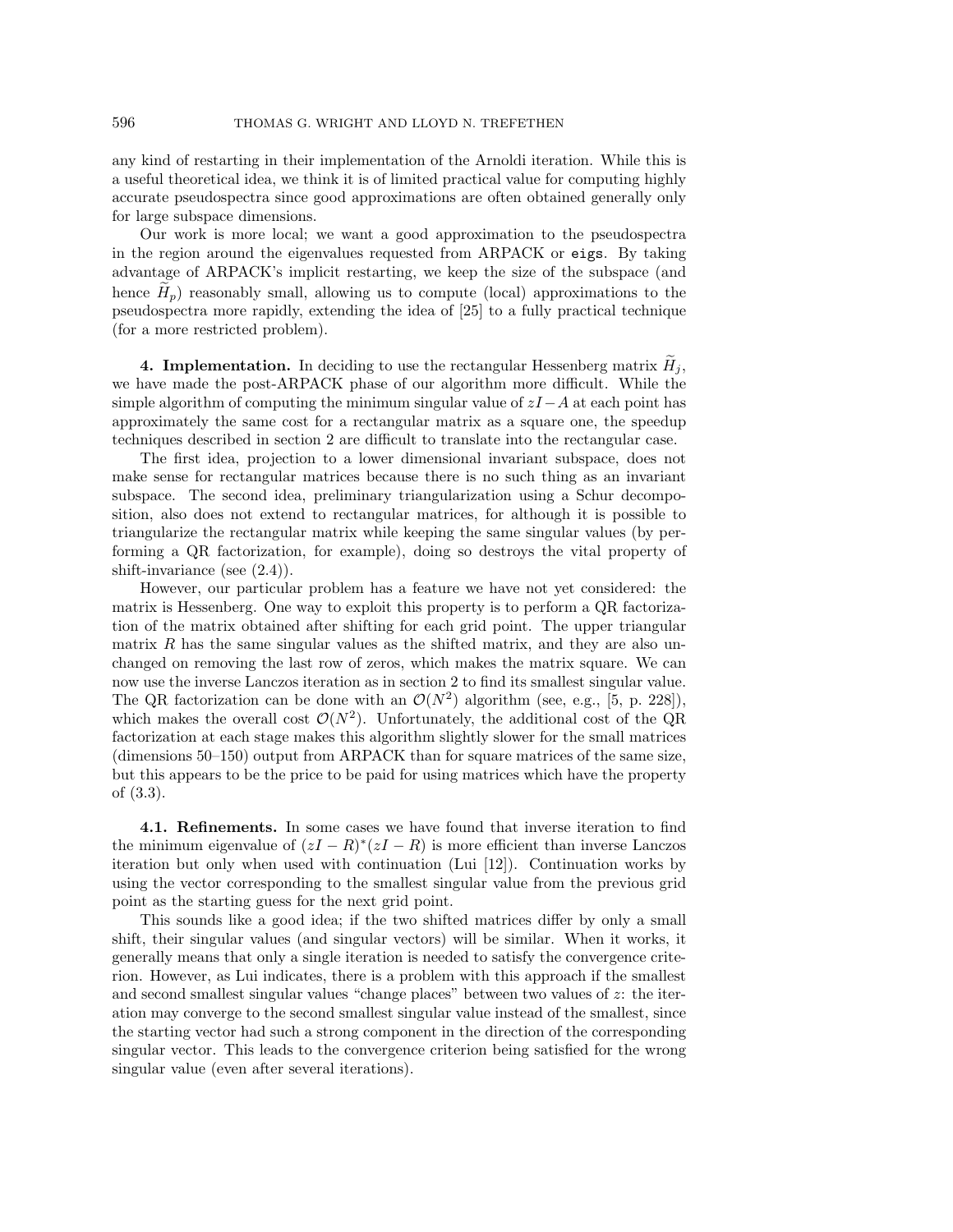any kind of restarting in their implementation of the Arnoldi iteration. While this is a useful theoretical idea, we think it is of limited practical value for computing highly accurate pseudospectra since good approximations are often obtained generally only for large subspace dimensions.

Our work is more local; we want a good approximation to the pseudospectra in the region around the eigenvalues requested from ARPACK or eigs. By taking advantage of ARPACK's implicit restarting, we keep the size of the subspace (and hence  $H_p$ ) reasonably small, allowing us to compute (local) approximations to the pseudospectra more rapidly, extending the idea of  $[25]$  to a fully practical technique (for a more restricted problem).

**4. Implementation.** In deciding to use the rectangular Hessenberg matrix  $H_j$ , we have made the post-ARPACK phase of our algorithm more difficult. While the simple algorithm of computing the minimum singular value of  $zI-A$  at each point has approximately the same cost for a rectangular matrix as a square one, the speedup techniques described in section 2 are difficult to translate into the rectangular case.

The first idea, projection to a lower dimensional invariant subspace, does not make sense for rectangular matrices because there is no such thing as an invariant subspace. The second idea, preliminary triangularization using a Schur decomposition, also does not extend to rectangular matrices, for although it is possible to triangularize the rectangular matrix while keeping the same singular values (by performing a QR factorization, for example), doing so destroys the vital property of shift-invariance (see (2.4)).

However, our particular problem has a feature we have not yet considered: the matrix is Hessenberg. One way to exploit this property is to perform a QR factorization of the matrix obtained after shifting for each grid point. The upper triangular matrix  $R$  has the same singular values as the shifted matrix, and they are also unchanged on removing the last row of zeros, which makes the matrix square. We can now use the inverse Lanczos iteration as in section 2 to find its smallest singular value. The QR factorization can be done with an  $\mathcal{O}(N^2)$  algorithm (see, e.g., [5, p. 228]), which makes the overall cost  $\mathcal{O}(N^2)$ . Unfortunately, the additional cost of the QR factorization at each stage makes this algorithm slightly slower for the small matrices (dimensions 50–150) output from ARPACK than for square matrices of the same size, but this appears to be the price to be paid for using matrices which have the property of (3.3).

**4.1. Refinements.** In some cases we have found that inverse iteration to find the minimum eigenvalue of  $(zI - R)^*(zI - R)$  is more efficient than inverse Lanczos iteration but only when used with continuation (Lui [12]). Continuation works by using the vector corresponding to the smallest singular value from the previous grid point as the starting guess for the next grid point.

This sounds like a good idea; if the two shifted matrices differ by only a small shift, their singular values (and singular vectors) will be similar. When it works, it generally means that only a single iteration is needed to satisfy the convergence criterion. However, as Lui indicates, there is a problem with this approach if the smallest and second smallest singular values "change places" between two values of  $z$ : the iteration may converge to the second smallest singular value instead of the smallest, since the starting vector had such a strong component in the direction of the corresponding singular vector. This leads to the convergence criterion being satisfied for the wrong singular value (even after several iterations).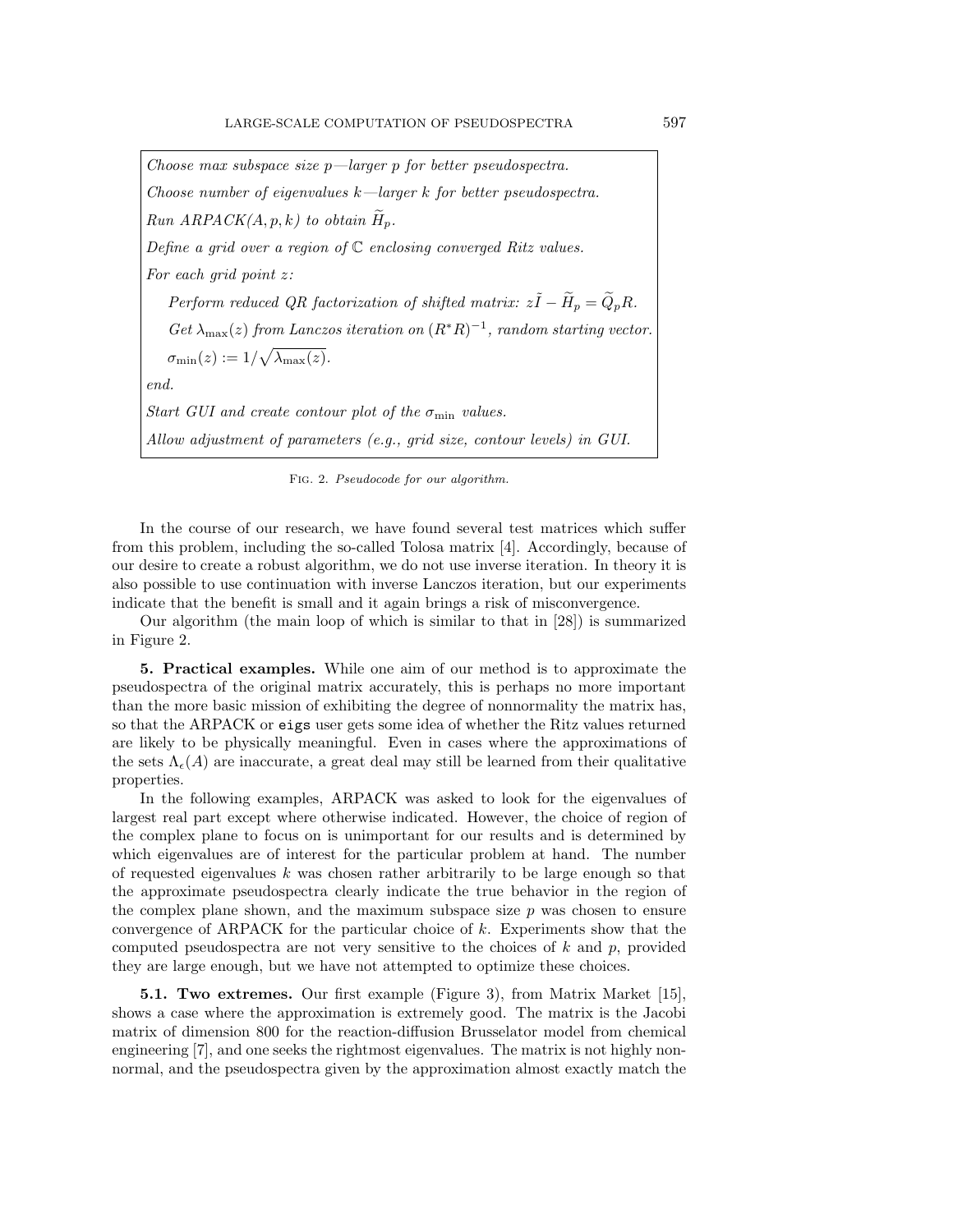Choose max subspace size  $p$ —larger p for better pseudospectra. Choose number of eigenvalues  $k$ —larger k for better pseudospectra. Run  $ARPACK(A, p, k)$  to obtain  $H_p$ . Define a grid over a region of  $\mathbb C$  enclosing converged Ritz values. For each grid point z: Perform reduced QR factorization of shifted matrix:  $z\tilde{I} - \tilde{H}_p = \tilde{Q}_p R$ .  $Get \lambda_{\text{max}}(z)$  from Lanczos iteration on  $(R^*R)^{-1}$ , random starting vector.  $\sigma_{\min}(z) := 1/\sqrt{\lambda_{\max}(z)}.$ end. Start GUI and create contour plot of the  $\sigma_{\min}$  values. Allow adjustment of parameters (e.g., grid size, contour levels) in GUI.

Fig. 2. Pseudocode for our algorithm.

In the course of our research, we have found several test matrices which suffer from this problem, including the so-called Tolosa matrix [4]. Accordingly, because of our desire to create a robust algorithm, we do not use inverse iteration. In theory it is also possible to use continuation with inverse Lanczos iteration, but our experiments indicate that the benefit is small and it again brings a risk of misconvergence.

Our algorithm (the main loop of which is similar to that in [28]) is summarized in Figure 2.

**5. Practical examples.** While one aim of our method is to approximate the pseudospectra of the original matrix accurately, this is perhaps no more important than the more basic mission of exhibiting the degree of nonnormality the matrix has, so that the ARPACK or eigs user gets some idea of whether the Ritz values returned are likely to be physically meaningful. Even in cases where the approximations of the sets  $\Lambda_{\epsilon}(A)$  are inaccurate, a great deal may still be learned from their qualitative properties.

In the following examples, ARPACK was asked to look for the eigenvalues of largest real part except where otherwise indicated. However, the choice of region of the complex plane to focus on is unimportant for our results and is determined by which eigenvalues are of interest for the particular problem at hand. The number of requested eigenvalues  $k$  was chosen rather arbitrarily to be large enough so that the approximate pseudospectra clearly indicate the true behavior in the region of the complex plane shown, and the maximum subspace size  $p$  was chosen to ensure convergence of ARPACK for the particular choice of k. Experiments show that the computed pseudospectra are not very sensitive to the choices of  $k$  and  $p$ , provided they are large enough, but we have not attempted to optimize these choices.

**5.1. Two extremes.** Our first example (Figure 3), from Matrix Market [15], shows a case where the approximation is extremely good. The matrix is the Jacobi matrix of dimension 800 for the reaction-diffusion Brusselator model from chemical engineering [7], and one seeks the rightmost eigenvalues. The matrix is not highly nonnormal, and the pseudospectra given by the approximation almost exactly match the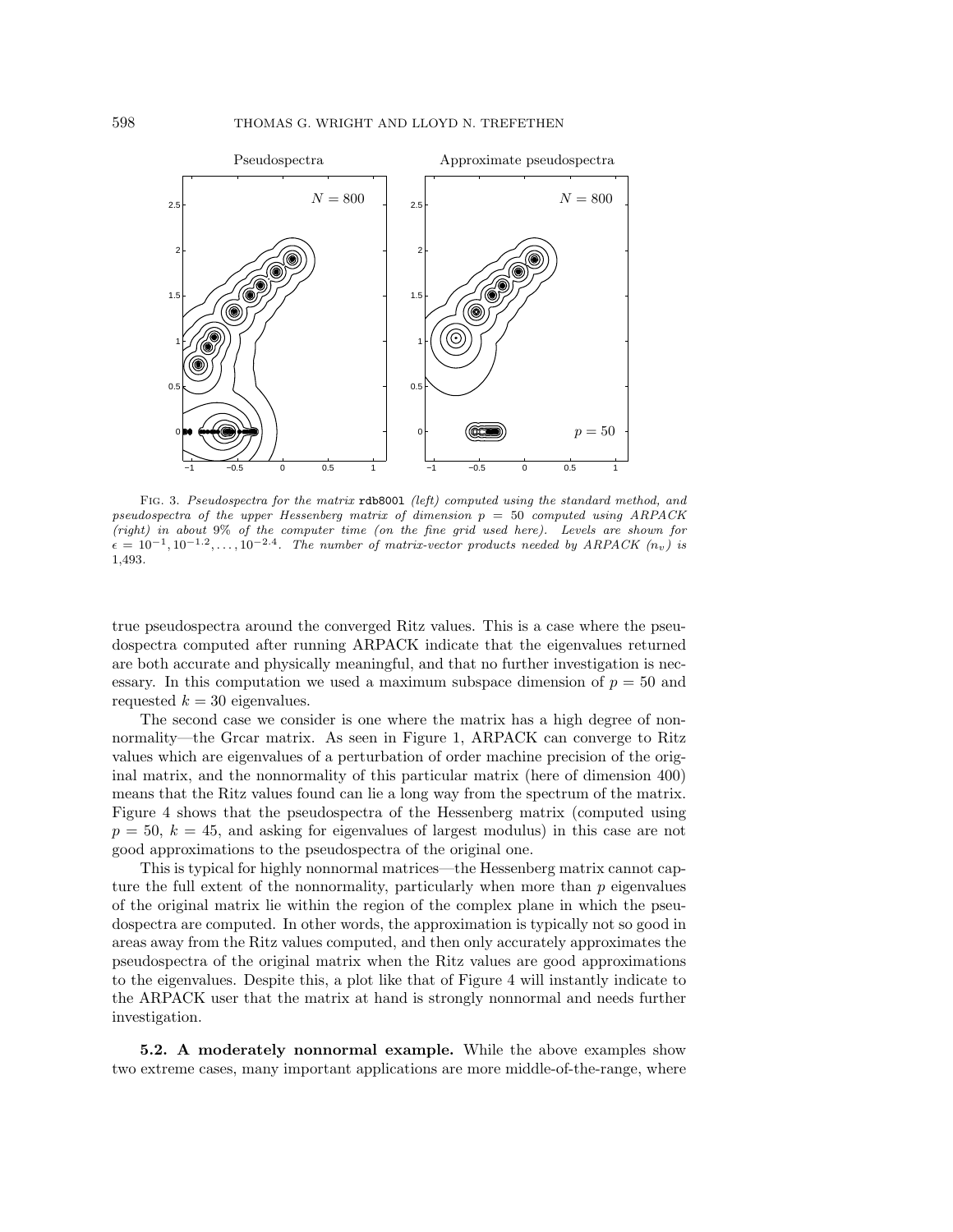

FIG. 3. Pseudospectra for the matrix rdb8001 (left) computed using the standard method, and pseudospectra of the upper Hessenberg matrix of dimension  $p = 50$  computed using ARPACK (right) in about 9% of the computer time (on the fine grid used here). Levels are shown for  $\epsilon = 10^{-1}, 10^{-1.2}, \ldots, 10^{-2.4}$ . The number of matrix-vector products needed by ARPACK (n<sub>v</sub>) is 1,493.

true pseudospectra around the converged Ritz values. This is a case where the pseudospectra computed after running ARPACK indicate that the eigenvalues returned are both accurate and physically meaningful, and that no further investigation is necessary. In this computation we used a maximum subspace dimension of  $p = 50$  and requested  $k = 30$  eigenvalues.

The second case we consider is one where the matrix has a high degree of nonnormality—the Grcar matrix. As seen in Figure 1, ARPACK can converge to Ritz values which are eigenvalues of a perturbation of order machine precision of the original matrix, and the nonnormality of this particular matrix (here of dimension 400) means that the Ritz values found can lie a long way from the spectrum of the matrix. Figure 4 shows that the pseudospectra of the Hessenberg matrix (computed using  $p = 50, k = 45$ , and asking for eigenvalues of largest modulus) in this case are not good approximations to the pseudospectra of the original one.

This is typical for highly nonnormal matrices—the Hessenberg matrix cannot capture the full extent of the nonnormality, particularly when more than  $p$  eigenvalues of the original matrix lie within the region of the complex plane in which the pseudospectra are computed. In other words, the approximation is typically not so good in areas away from the Ritz values computed, and then only accurately approximates the pseudospectra of the original matrix when the Ritz values are good approximations to the eigenvalues. Despite this, a plot like that of Figure 4 will instantly indicate to the ARPACK user that the matrix at hand is strongly nonnormal and needs further investigation.

**5.2. A moderately nonnormal example.** While the above examples show two extreme cases, many important applications are more middle-of-the-range, where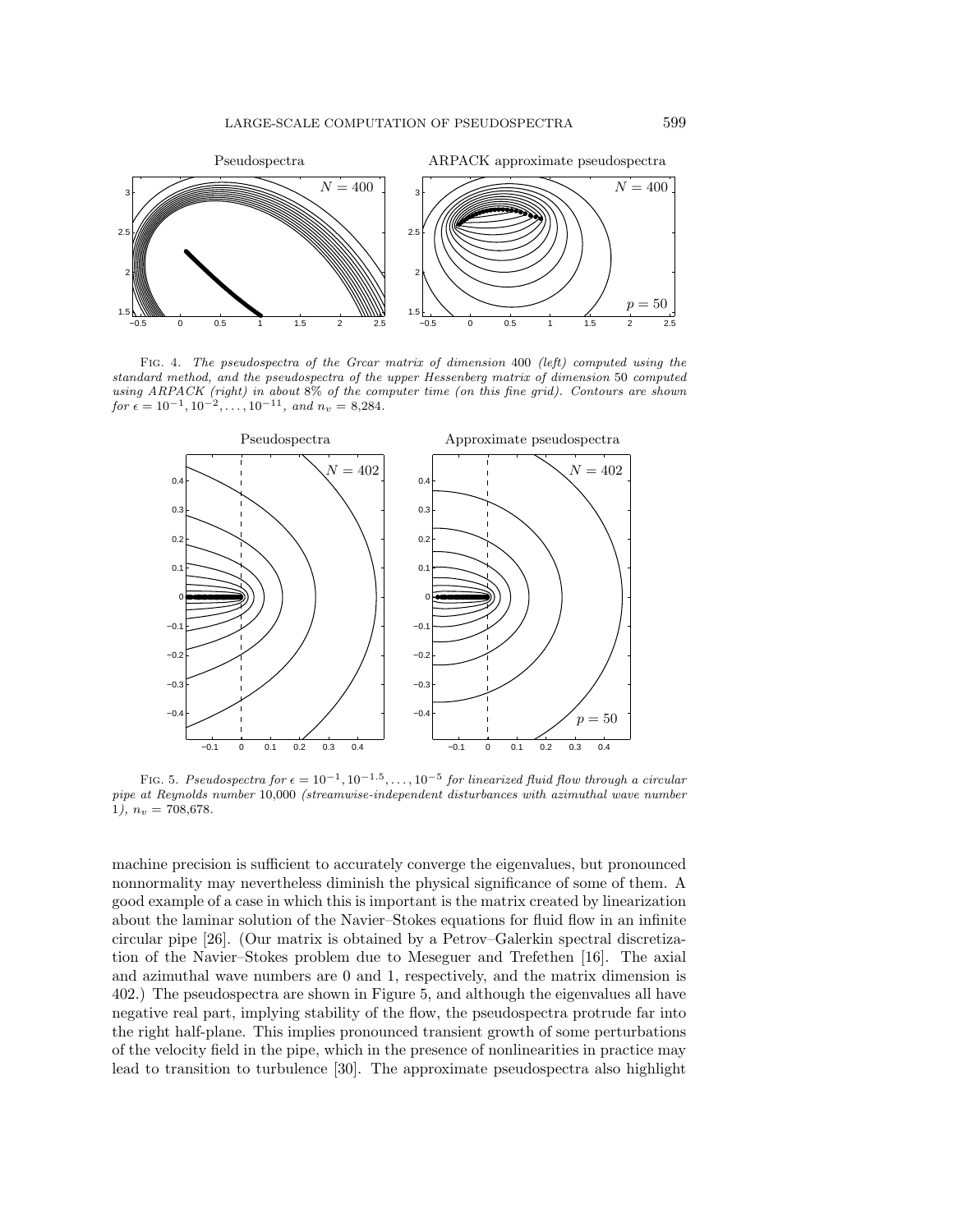

Fig. 4. The pseudospectra of the Grcar matrix of dimension 400 (left) computed using the standard method, and the pseudospectra of the upper Hessenberg matrix of dimension 50 computed using ARPACK (right) in about 8% of the computer time (on this fine grid). Contours are shown for  $\epsilon = 10^{-1}, 10^{-2}, \ldots, 10^{-11},$  and  $n_v = 8,284$ .



FIG. 5. Pseudospectra for  $\epsilon = 10^{-1}, 10^{-1.5}, \ldots, 10^{-5}$  for linearized fluid flow through a circular pipe at Reynolds number 10,000 (streamwise-independent disturbances with azimuthal wave number 1),  $n_v = 708,678$ .

machine precision is sufficient to accurately converge the eigenvalues, but pronounced nonnormality may nevertheless diminish the physical significance of some of them. A good example of a case in which this is important is the matrix created by linearization about the laminar solution of the Navier–Stokes equations for fluid flow in an infinite circular pipe [26]. (Our matrix is obtained by a Petrov–Galerkin spectral discretization of the Navier–Stokes problem due to Meseguer and Trefethen [16]. The axial and azimuthal wave numbers are 0 and 1, respectively, and the matrix dimension is 402.) The pseudospectra are shown in Figure 5, and although the eigenvalues all have negative real part, implying stability of the flow, the pseudospectra protrude far into the right half-plane. This implies pronounced transient growth of some perturbations of the velocity field in the pipe, which in the presence of nonlinearities in practice may lead to transition to turbulence [30]. The approximate pseudospectra also highlight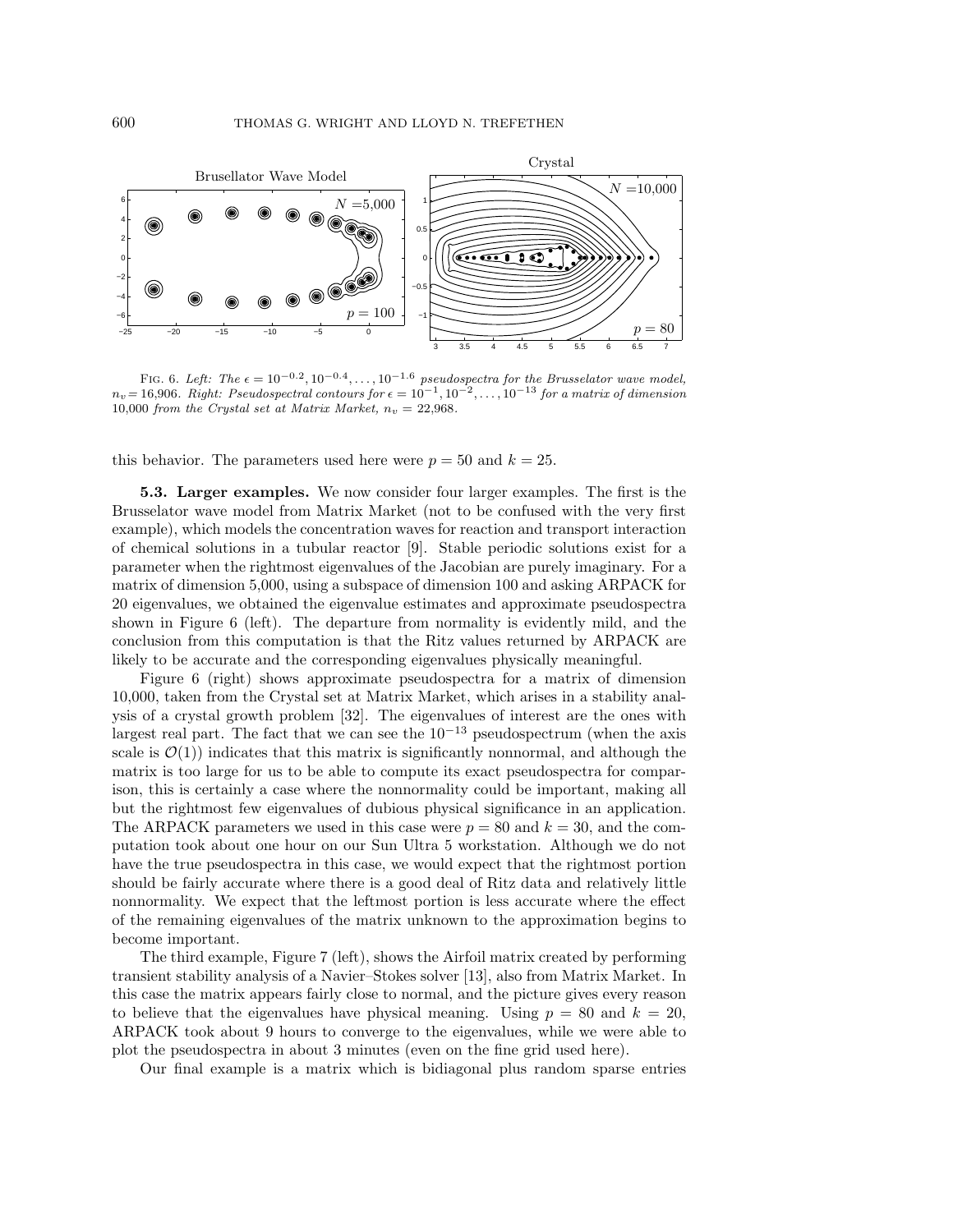

FIG. 6. Left: The  $\epsilon = 10^{-0.2}$ ,  $10^{-0.4}$ ,...,  $10^{-1.6}$  pseudospectra for the Brusselator wave model,  $n_v= 16,906.$  Right: Pseudospectral contours for  $\epsilon=10^{-1},10^{-2},\ldots,10^{-13}$  for a matrix of dimension 10,000 from the Crystal set at Matrix Market,  $n_v = 22,968$ .

this behavior. The parameters used here were  $p = 50$  and  $k = 25$ .

**5.3. Larger examples.** We now consider four larger examples. The first is the Brusselator wave model from Matrix Market (not to be confused with the very first example), which models the concentration waves for reaction and transport interaction of chemical solutions in a tubular reactor [9]. Stable periodic solutions exist for a parameter when the rightmost eigenvalues of the Jacobian are purely imaginary. For a matrix of dimension 5,000, using a subspace of dimension 100 and asking ARPACK for 20 eigenvalues, we obtained the eigenvalue estimates and approximate pseudospectra shown in Figure 6 (left). The departure from normality is evidently mild, and the conclusion from this computation is that the Ritz values returned by ARPACK are likely to be accurate and the corresponding eigenvalues physically meaningful.

Figure 6 (right) shows approximate pseudospectra for a matrix of dimension 10,000, taken from the Crystal set at Matrix Market, which arises in a stability analysis of a crystal growth problem [32]. The eigenvalues of interest are the ones with largest real part. The fact that we can see the  $10^{-13}$  pseudospectrum (when the axis scale is  $\mathcal{O}(1)$ ) indicates that this matrix is significantly nonnormal, and although the matrix is too large for us to be able to compute its exact pseudospectra for comparison, this is certainly a case where the nonnormality could be important, making all but the rightmost few eigenvalues of dubious physical significance in an application. The ARPACK parameters we used in this case were  $p = 80$  and  $k = 30$ , and the computation took about one hour on our Sun Ultra 5 workstation. Although we do not have the true pseudospectra in this case, we would expect that the rightmost portion should be fairly accurate where there is a good deal of Ritz data and relatively little nonnormality. We expect that the leftmost portion is less accurate where the effect of the remaining eigenvalues of the matrix unknown to the approximation begins to become important.

The third example, Figure 7 (left), shows the Airfoil matrix created by performing transient stability analysis of a Navier–Stokes solver [13], also from Matrix Market. In this case the matrix appears fairly close to normal, and the picture gives every reason to believe that the eigenvalues have physical meaning. Using  $p = 80$  and  $k = 20$ , ARPACK took about 9 hours to converge to the eigenvalues, while we were able to plot the pseudospectra in about 3 minutes (even on the fine grid used here).

Our final example is a matrix which is bidiagonal plus random sparse entries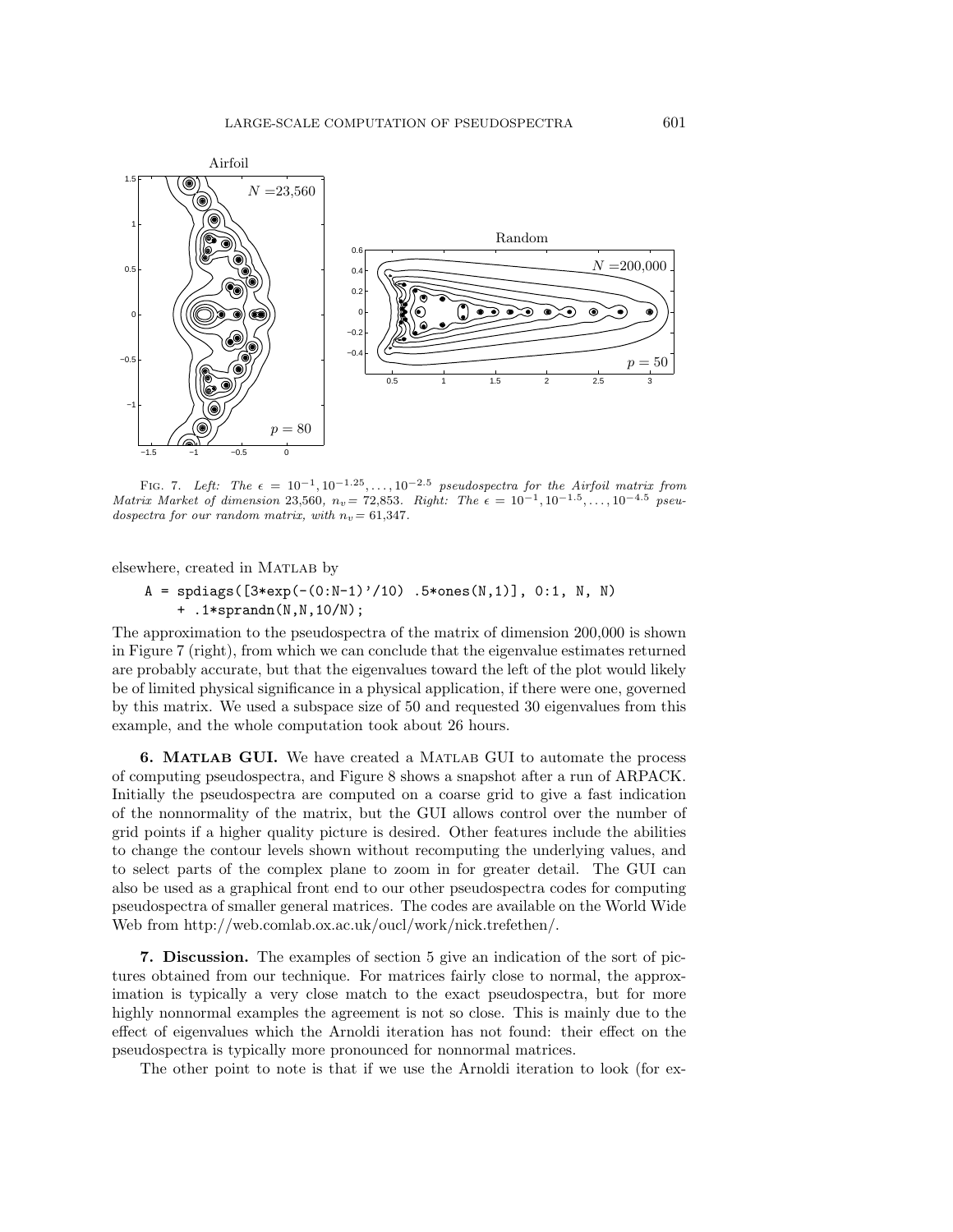

FIG. 7. Left: The  $\epsilon = 10^{-1}, 10^{-1.25}, \ldots, 10^{-2.5}$  pseudospectra for the Airfoil matrix from Matrix Market of dimension 23,560,  $n_v = 72,853$ . Right: The  $\epsilon = 10^{-1}, 10^{-1.5}, \ldots, 10^{-4.5}$  pseudospectra for our random matrix, with  $n_v= 61,347$ .

elsewhere, created in MATLAB by

 $A =$  spdiags( $[3*exp(-(0:N-1)'/10)$ . 5\*ones(N,1)], 0:1, N, N) + .1\*sprandn(N,N,10/N);

The approximation to the pseudospectra of the matrix of dimension 200,000 is shown in Figure 7 (right), from which we can conclude that the eigenvalue estimates returned are probably accurate, but that the eigenvalues toward the left of the plot would likely be of limited physical significance in a physical application, if there were one, governed by this matrix. We used a subspace size of 50 and requested 30 eigenvalues from this example, and the whole computation took about 26 hours.

**6. MATLAB GUI.** We have created a Matlab GUI to automate the process of computing pseudospectra, and Figure 8 shows a snapshot after a run of ARPACK. Initially the pseudospectra are computed on a coarse grid to give a fast indication of the nonnormality of the matrix, but the GUI allows control over the number of grid points if a higher quality picture is desired. Other features include the abilities to change the contour levels shown without recomputing the underlying values, and to select parts of the complex plane to zoom in for greater detail. The GUI can also be used as a graphical front end to our other pseudospectra codes for computing pseudospectra of smaller general matrices. The codes are available on the World Wide Web from http://web.comlab.ox.ac.uk/oucl/work/nick.trefethen/.

**7. Discussion.** The examples of section 5 give an indication of the sort of pictures obtained from our technique. For matrices fairly close to normal, the approximation is typically a very close match to the exact pseudospectra, but for more highly nonnormal examples the agreement is not so close. This is mainly due to the effect of eigenvalues which the Arnoldi iteration has not found: their effect on the pseudospectra is typically more pronounced for nonnormal matrices.

The other point to note is that if we use the Arnoldi iteration to look (for ex-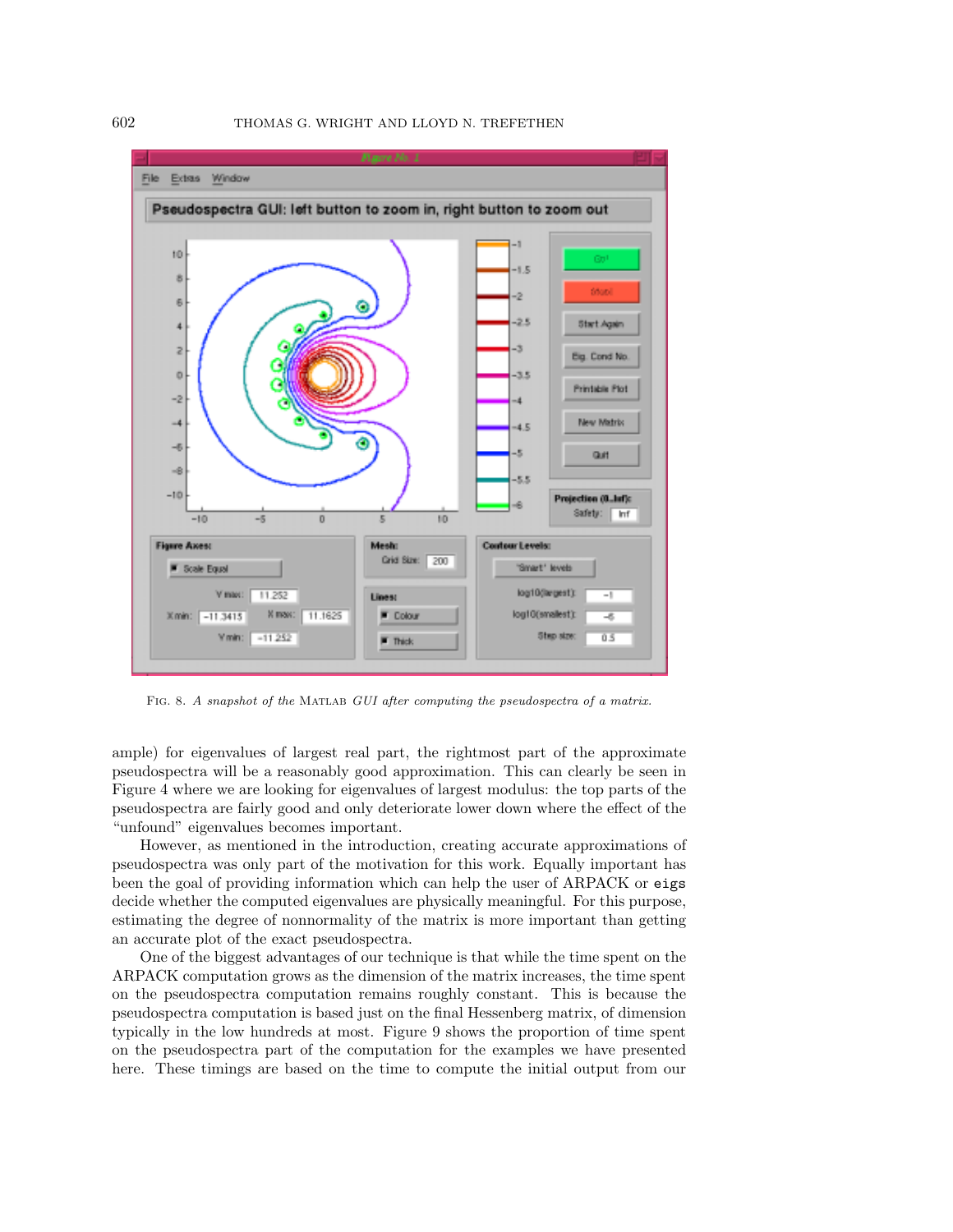

FIG. 8. A snapshot of the MATLAB GUI after computing the pseudospectra of a matrix.

ample) for eigenvalues of largest real part, the rightmost part of the approximate pseudospectra will be a reasonably good approximation. This can clearly be seen in Figure 4 where we are looking for eigenvalues of largest modulus: the top parts of the pseudospectra are fairly good and only deteriorate lower down where the effect of the "unfound" eigenvalues becomes important.

However, as mentioned in the introduction, creating accurate approximations of pseudospectra was only part of the motivation for this work. Equally important has been the goal of providing information which can help the user of ARPACK or eigs decide whether the computed eigenvalues are physically meaningful. For this purpose, estimating the degree of nonnormality of the matrix is more important than getting an accurate plot of the exact pseudospectra.

One of the biggest advantages of our technique is that while the time spent on the ARPACK computation grows as the dimension of the matrix increases, the time spent on the pseudospectra computation remains roughly constant. This is because the pseudospectra computation is based just on the final Hessenberg matrix, of dimension typically in the low hundreds at most. Figure 9 shows the proportion of time spent on the pseudospectra part of the computation for the examples we have presented here. These timings are based on the time to compute the initial output from our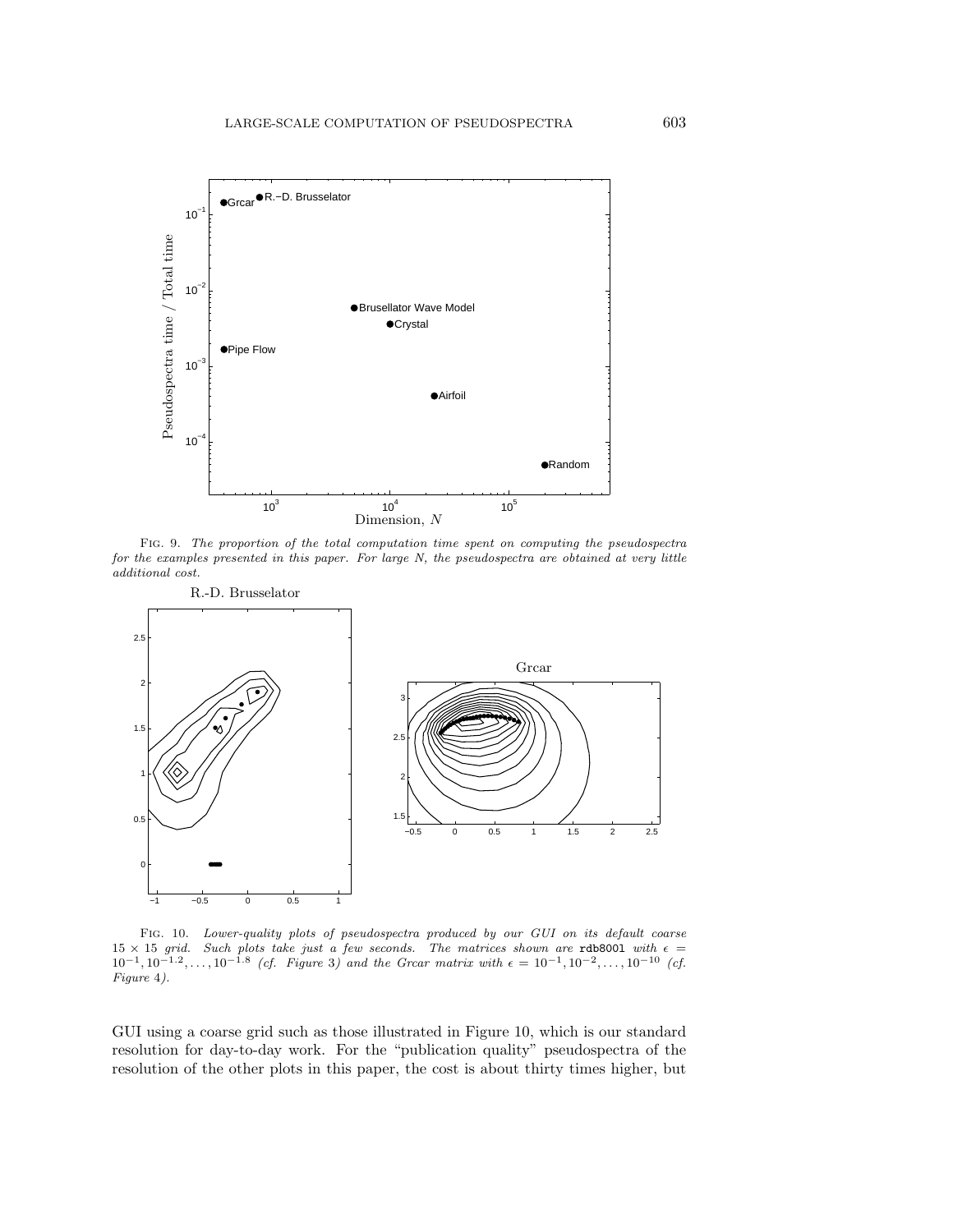

Fig. 9. The proportion of the total computation time spent on computing the pseudospectra for the examples presented in this paper. For large N, the pseudospectra are obtained at very little additional cost.



Fig. 10. Lower-quality plots of pseudospectra produced by our GUI on its default coarse 15 × 15 grid. Such plots take just a few seconds. The matrices shown are rdb8001 with  $\epsilon = 10^{-1}, 10^{-1.2}, \ldots, 10^{-1.8}$  (cf. Figure 3) and the Grear matrix with  $\epsilon = 10^{-1}, 10^{-2}, \ldots, 10^{-10}$  (cf. Figure 4).

GUI using a coarse grid such as those illustrated in Figure 10, which is our standard resolution for day-to-day work. For the "publication quality" pseudospectra of the resolution of the other plots in this paper, the cost is about thirty times higher, but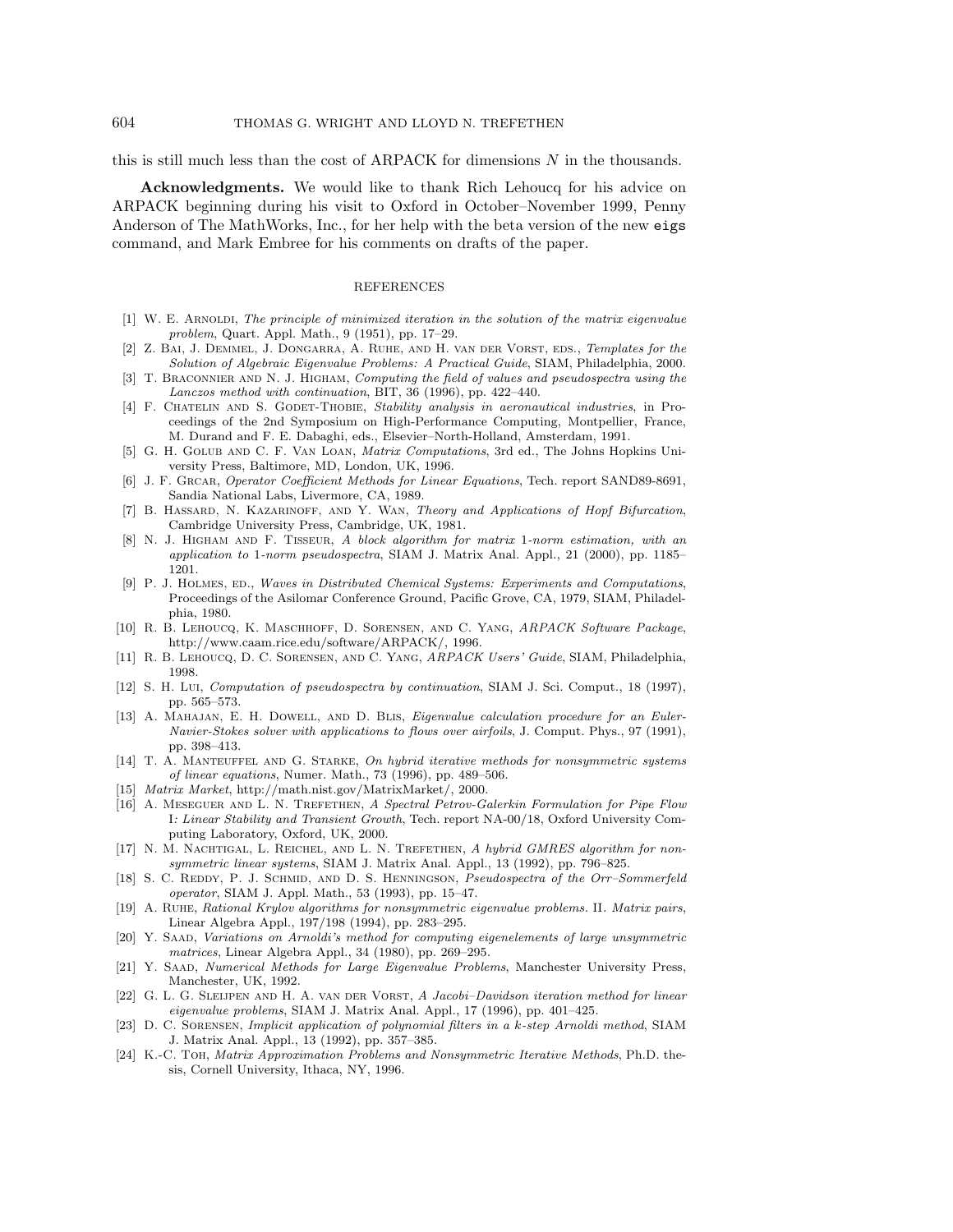this is still much less than the cost of ARPACK for dimensions N in the thousands.

**Acknowledgments.** We would like to thank Rich Lehoucq for his advice on ARPACK beginning during his visit to Oxford in October–November 1999, Penny Anderson of The MathWorks, Inc., for her help with the beta version of the new eigs command, and Mark Embree for his comments on drafts of the paper.

## REFERENCES

- $[1]$  W. E. ARNOLDI, The principle of minimized iteration in the solution of the matrix eigenvalue problem, Quart. Appl. Math., 9 (1951), pp. 17–29.
- [2] Z. Bai, J. Demmel, J. Dongarra, A. Ruhe, and H. van der Vorst, eds., Templates for the Solution of Algebraic Eigenvalue Problems: A Practical Guide, SIAM, Philadelphia, 2000.
- [3] T. BRACONNIER AND N. J. HIGHAM, Computing the field of values and pseudospectra using the Lanczos method with continuation, BIT, 36 (1996), pp. 422–440.
- [4] F. CHATELIN AND S. GODET-THOBIE, Stability analysis in aeronautical industries, in Proceedings of the 2nd Symposium on High-Performance Computing, Montpellier, France, M. Durand and F. E. Dabaghi, eds., Elsevier–North-Holland, Amsterdam, 1991.
- [5] G. H. Golub and C. F. Van Loan, Matrix Computations, 3rd ed., The Johns Hopkins University Press, Baltimore, MD, London, UK, 1996.
- [6] J. F. GRCAR, Operator Coefficient Methods for Linear Equations, Tech. report SAND89-8691, Sandia National Labs, Livermore, CA, 1989.
- [7] B. Hassard, N. Kazarinoff, and Y. Wan, Theory and Applications of Hopf Bifurcation, Cambridge University Press, Cambridge, UK, 1981.
- [8] N. J. Higham and F. Tisseur, A block algorithm for matrix 1-norm estimation, with an application to 1-norm pseudospectra, SIAM J. Matrix Anal. Appl., 21 (2000), pp. 1185– 1201.
- [9] P. J. HOLMES, ED., Waves in Distributed Chemical Systems: Experiments and Computations, Proceedings of the Asilomar Conference Ground, Pacific Grove, CA, 1979, SIAM, Philadelphia, 1980.
- [10] R. B. LEHOUCQ, K. MASCHHOFF, D. SORENSEN, AND C. YANG, ARPACK Software Package, http://www.caam.rice.edu/software/ARPACK/, 1996.
- [11] R. B. Lehoucq, D. C. Sorensen, and C. Yang, ARPACK Users' Guide, SIAM, Philadelphia, 1998.
- [12] S. H. Lui, Computation of pseudospectra by continuation, SIAM J. Sci. Comput., 18 (1997), pp. 565–573.
- [13] A. MAHAJAN, E. H. DOWELL, AND D. BLIS, *Eigenvalue calculation procedure for an Euler-*Navier-Stokes solver with applications to flows over airfoils, J. Comput. Phys., 97 (1991), pp. 398–413.
- [14] T. A. MANTEUFFEL AND G. STARKE, On hybrid iterative methods for nonsymmetric systems of linear equations, Numer. Math., 73 (1996), pp. 489–506.
- [15] Matrix Market, http://math.nist.gov/MatrixMarket/, 2000.
- [16] A. MESEGUER AND L. N. TREFETHEN, A Spectral Petrov-Galerkin Formulation for Pipe Flow I: Linear Stability and Transient Growth, Tech. report NA-00/18, Oxford University Computing Laboratory, Oxford, UK, 2000.
- [17] N. M. NACHTIGAL, L. REICHEL, AND L. N. TREFETHEN, A hybrid GMRES algorithm for nonsymmetric linear systems, SIAM J. Matrix Anal. Appl., 13 (1992), pp. 796–825.
- [18] S. C. REDDY, P. J. SCHMID, AND D. S. HENNINGSON, Pseudospectra of the Orr–Sommerfeld operator, SIAM J. Appl. Math., 53 (1993), pp. 15–47.
- [19] A. Ruhe, Rational Krylov algorithms for nonsymmetric eigenvalue problems. II. Matrix pairs, Linear Algebra Appl., 197/198 (1994), pp. 283–295.
- [20] Y. SAAD, Variations on Arnoldi's method for computing eigenelements of large unsymmetric matrices, Linear Algebra Appl., 34 (1980), pp. 269–295.
- [21] Y. Saad, Numerical Methods for Large Eigenvalue Problems, Manchester University Press, Manchester, UK, 1992.
- [22] G. L. G. Sleijpen and H. A. van der Vorst, A Jacobi–Davidson iteration method for linear eigenvalue problems, SIAM J. Matrix Anal. Appl., 17 (1996), pp. 401–425.
- [23] D. C. Sorensen, Implicit application of polynomial filters in a k-step Arnoldi method, SIAM J. Matrix Anal. Appl., 13 (1992), pp. 357–385.
- [24] K.-C. Toh, Matrix Approximation Problems and Nonsymmetric Iterative Methods, Ph.D. thesis, Cornell University, Ithaca, NY, 1996.